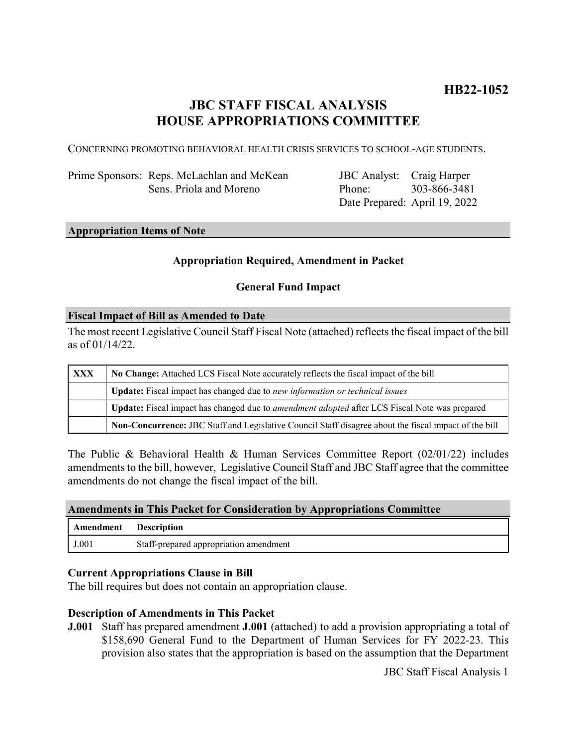# **JBC STAFF FISCAL ANALYSIS HOUSE APPROPRIATIONS COMMITTEE**

CONCERNING PROMOTING BEHAVIORAL HEALTH CRISIS SERVICES TO SCHOOL-AGE STUDENTS.

Prime Sponsors: Reps. McLachlan and McKean Sens. Priola and Moreno

JBC Analyst: Craig Harper Phone: Date Prepared: April 19, 2022 303-866-3481

### **Appropriation Items of Note**

### **Appropriation Required, Amendment in Packet**

### **General Fund Impact**

#### **Fiscal Impact of Bill as Amended to Date**

The most recent Legislative Council Staff Fiscal Note (attached) reflects the fiscal impact of the bill as of 01/14/22.

| <b>XXX</b> | No Change: Attached LCS Fiscal Note accurately reflects the fiscal impact of the bill                 |
|------------|-------------------------------------------------------------------------------------------------------|
|            | <b>Update:</b> Fiscal impact has changed due to new information or technical issues                   |
|            | Update: Fiscal impact has changed due to <i>amendment adopted</i> after LCS Fiscal Note was prepared  |
|            | Non-Concurrence: JBC Staff and Legislative Council Staff disagree about the fiscal impact of the bill |

The Public & Behavioral Health & Human Services Committee Report (02/01/22) includes amendments to the bill, however, Legislative Council Staff and JBC Staff agree that the committee amendments do not change the fiscal impact of the bill.

#### **Amendments in This Packet for Consideration by Appropriations Committee**

| Amendment | <b>Description</b>                     |
|-----------|----------------------------------------|
| J.001     | Staff-prepared appropriation amendment |

#### **Current Appropriations Clause in Bill**

The bill requires but does not contain an appropriation clause.

#### **Description of Amendments in This Packet**

**J.001** Staff has prepared amendment **J.001** (attached) to add a provision appropriating a total of \$158,690 General Fund to the Department of Human Services for FY 2022-23. This provision also states that the appropriation is based on the assumption that the Department